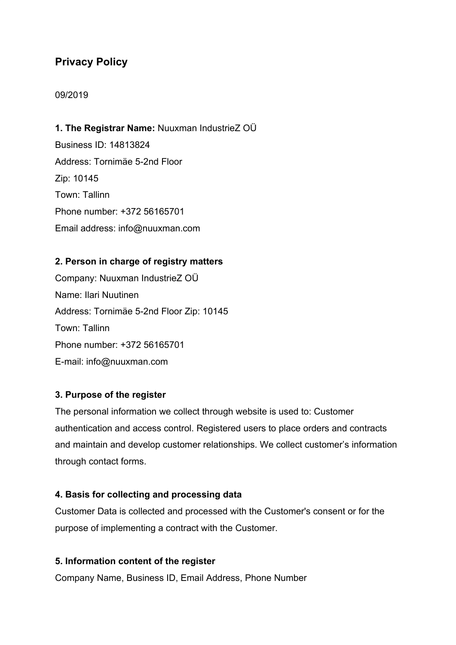# **Privacy Policy**

# 09/2019

# **1. The Registrar Name:** Nuuxman IndustrieZ OÜ

Business ID: 14813824 Address: Tornimäe 5-2nd Floor Zip: 10145 Town: Tallinn Phone number: +372 56165701 Email address: info@nuuxman.com

# **2. Person in charge of registry matters**

Company: Nuuxman IndustrieZ OÜ Name: Ilari Nuutinen Address: Tornimäe 5-2nd Floor Zip: 10145 Town: Tallinn Phone number: +372 56165701 E-mail: info@nuuxman.com

# **3. Purpose of the register**

The personal information we collect through website is used to: Customer authentication and access control. Registered users to place orders and contracts and maintain and develop customer relationships. We collect customer's information through contact forms.

# **4. Basis for collecting and processing data**

Customer Data is collected and processed with the Customer's consent or for the purpose of implementing a contract with the Customer.

# **5. Information content of the register**

Company Name, Business ID, Email Address, Phone Number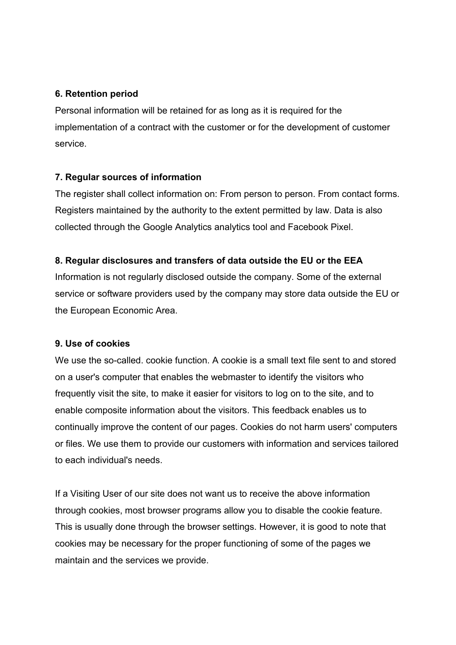#### **6. Retention period**

Personal information will be retained for as long as it is required for the implementation of a contract with the customer or for the development of customer service.

# **7. Regular sources of information**

The register shall collect information on: From person to person. From contact forms. Registers maintained by the authority to the extent permitted by law. Data is also collected through the Google Analytics analytics tool and Facebook Pixel.

# **8. Regular disclosures and transfers of data outside the EU or the EEA**

Information is not regularly disclosed outside the company. Some of the external service or software providers used by the company may store data outside the EU or the European Economic Area.

# **9. Use of cookies**

We use the so-called. cookie function. A cookie is a small text file sent to and stored on a user's computer that enables the webmaster to identify the visitors who frequently visit the site, to make it easier for visitors to log on to the site, and to enable composite information about the visitors. This feedback enables us to continually improve the content of our pages. Cookies do not harm users' computers or files. We use them to provide our customers with information and services tailored to each individual's needs.

If a Visiting User of our site does not want us to receive the above information through cookies, most browser programs allow you to disable the cookie feature. This is usually done through the browser settings. However, it is good to note that cookies may be necessary for the proper functioning of some of the pages we maintain and the services we provide.